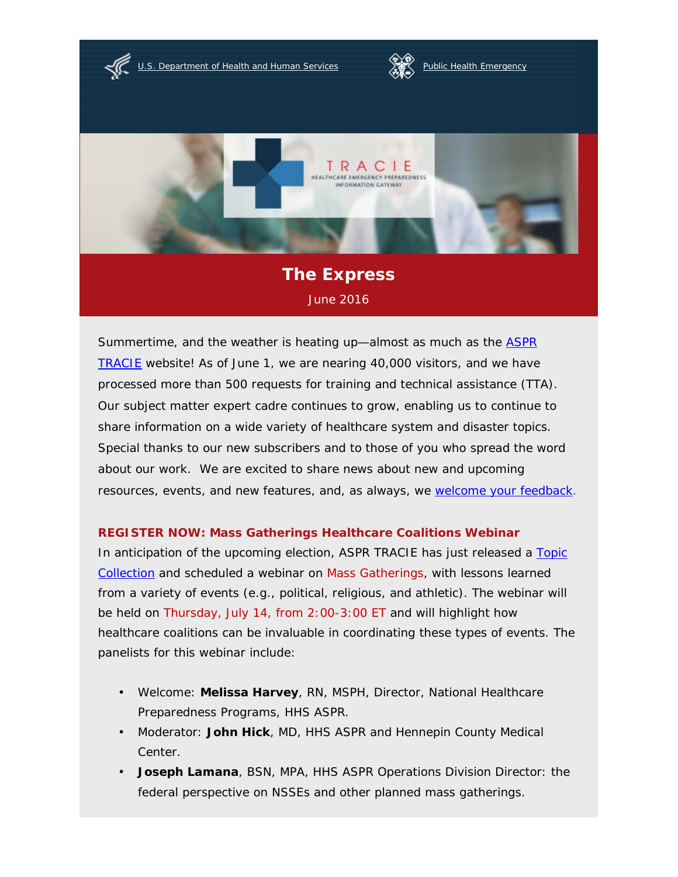[U.S. Department of Health and Human Services](http://www.hhs.gov/) **Alterative [Public Health Emergency](http://www.phe.gov/)** 





# **The Express** June 2016

Summertime, and the weather is heating up—almost as much as the [ASPR](https://asprtracie.hhs.gov/)  [TRACIE](https://asprtracie.hhs.gov/) website! As of June 1, we are nearing 40,000 visitors, and we have processed more than 500 requests for training and technical assistance (TTA). Our subject matter expert cadre continues to grow, enabling us to continue to share information on a wide variety of healthcare system and disaster topics. Special thanks to our new subscribers and to those of you who spread the word about our work. We are excited to share news about new and upcoming resources, events, and new features, and, as always, we [welcome your feedback.](mailto:askasprtracie@hhs.gov)

## **REGISTER NOW: Mass Gatherings Healthcare Coalitions Webinar**

In anticipation of the upcoming election, ASPR TRACIE has just released a Topic [Collection](https://asprtracie.hhs.gov/technical-resources/85/Mass-Gatherings-Special-Events/0) and scheduled a webinar on Mass Gatherings, with lessons learned from a variety of events (e.g., political, religious, and athletic). The webinar will be held on Thursday, July 14, from 2:00-3:00 ET and will highlight how healthcare coalitions can be invaluable in coordinating these types of events. The panelists for this webinar include:

- Welcome: **Melissa Harvey**, RN, MSPH, Director, National Healthcare Preparedness Programs, HHS ASPR.
- Moderator: **John Hick**, MD, HHS ASPR and Hennepin County Medical Center.
- **Joseph Lamana**, BSN, MPA, HHS ASPR Operations Division Director: the •federal perspective on NSSEs and other planned mass gatherings.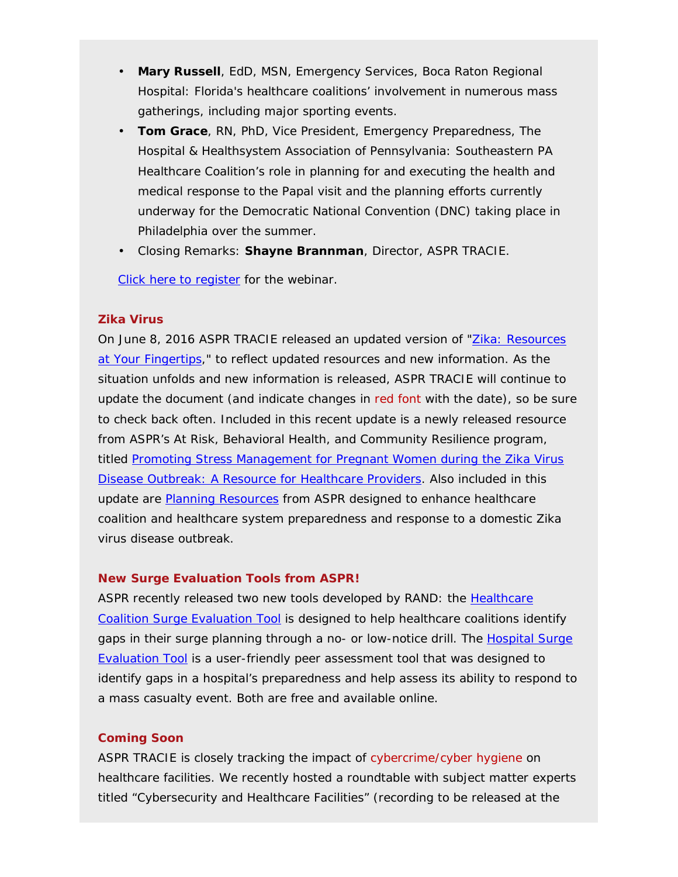- **Mary Russell**, EdD, MSN, Emergency Services, Boca Raton Regional Hospital: Florida's healthcare coalitions' involvement in numerous mass gatherings, including major sporting events.
- **Tom Grace**, RN, PhD, Vice President, Emergency Preparedness, The Hospital & Healthsystem Association of Pennsylvania: Southeastern PA Healthcare Coalition's role in planning for and executing the health and medical response to the Papal visit and the planning efforts currently underway for the Democratic National Convention (DNC) taking place in Philadelphia over the summer.
- Closing Remarks: **Shayne Brannman**, Director, ASPR TRACIE. •

[Click here to register](https://attendee.gotowebinar.com/register/9110950645972336898) for the webinar.

### **Zika Virus**

On June 8, 2016 ASPR TRACIE released an updated version of ["Zika: Resources](https://asprtracie.hhs.gov/documents/ASPR-TRACIE-Zika-Virus-Disease-Resources-At-Your-Fingertips.pdf)  [at Your Fingertips,](https://asprtracie.hhs.gov/documents/ASPR-TRACIE-Zika-Virus-Disease-Resources-At-Your-Fingertips.pdf)" to reflect updated resources and new information. As the situation unfolds and new information is released, ASPR TRACIE will continue to update the document (and indicate changes in red font with the date), so be sure to check back often. Included in this recent update is a newly released resource from ASPR's At Risk, Behavioral Health, and Community Resilience program, titled [Promoting Stress Management for Pregnant Women during the Zika Virus](http://www.phe.gov/Preparedness/planning/abc/Pages/zika-stress.aspx)  [Disease Outbreak: A Resource for Healthcare Providers.](http://www.phe.gov/Preparedness/planning/abc/Pages/zika-stress.aspx) Also included in this update are [Planning Resources](https://asprtracie.hhs.gov/technical-resources/MasterSearch?qt=zika&page=1) from ASPR designed to enhance healthcare coalition and healthcare system preparedness and response to a domestic Zika virus disease outbreak.

### **New Surge Evaluation Tools from ASPR!**

ASPR recently released two new tools developed by RAND: the [Healthcare](http://www.phe.gov/Preparedness/planning/hpp/Pages/coaltion-tool.aspx)  [Coalition Surge Evaluation Tool](http://www.phe.gov/Preparedness/planning/hpp/Pages/coaltion-tool.aspx) is designed to help healthcare coalitions identify gaps in their surge planning through a no- or low-notice drill. The Hospital Surge [Evaluation Tool](http://www.phe.gov/Preparedness/planning/hpp/surge/Pages/default.aspx) is a user-friendly peer assessment tool that was designed to identify gaps in a hospital's preparedness and help assess its ability to respond to a mass casualty event. Both are free and available online.

### **Coming Soon**

ASPR TRACIE is closely tracking the impact of cybercrime/cyber hygiene on healthcare facilities. We recently hosted a roundtable with subject matter experts titled "Cybersecurity and Healthcare Facilities" (recording to be released at the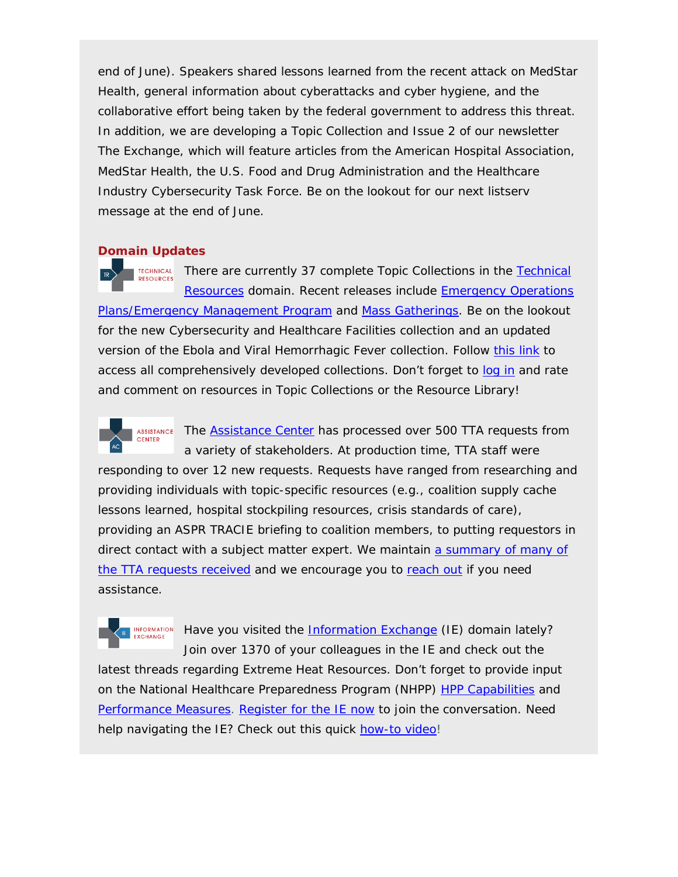end of June). Speakers shared lessons learned from the recent attack on MedStar Health, general information about cyberattacks and cyber hygiene, and the collaborative effort being taken by the federal government to address this threat. In addition, we are developing a Topic Collection and Issue 2 of our newsletter *The Exchange,* which will feature articles from the American Hospital Association, MedStar Health, the U.S. Food and Drug Administration and the Healthcare Industry Cybersecurity Task Force*.* Be on the lookout for our next listserv message at the end of June.

### **Domain Updates**

There are currently 37 complete Topic Collections in the [Technical](https://asprtracie.hhs.gov/technical-resources)  **TECHNICAL** RESOURCES [Resources](https://asprtracie.hhs.gov/technical-resources) domain. Recent releases include **Emergency Operations** [Plans/Emergency Management Program](https://asprtracie.hhs.gov/technical-resources/84/Emncy-Operations-Plans-Emncy-Management-Program/0) and [Mass Gatherings.](https://asprtracie.hhs.gov/technical-resources/85/Mass-Gatherings-Special-Events/0) Be on the lookout for the new Cybersecurity and Healthcare Facilities collection and an updated version of the Ebola and Viral Hemorrhagic Fever collection. Follow [this link](https://asprtracie.hhs.gov/technical-resources/topic-collection) to access all comprehensively developed collections. Don't forget to [log](https://asprtracie.hhs.gov/login) in and rate and comment on resources in Topic Collections or the Resource Library!



The [Assistance Center](https://asprtracie.hhs.gov/assistance-center) has processed over 500 TTA requests from a variety of stakeholders. At production time, TTA staff were

responding to over 12 new requests. Requests have ranged from researching and providing individuals with topic-specific resources (e.g., coalition supply cache lessons learned, hospital stockpiling resources, crisis standards of care), providing an ASPR TRACIE briefing to coalition members, to putting requestors in direct contact with a subject matter expert. We maintain a summary of many of [the TTA requests received](https://asprtracie.hhs.gov/Documents/ASPR-TRACIE-TTA-Requests.pdf) and we encourage you to [reach out](https://asprtracie.hhs.gov/assistance-center) if you need assistance.

**EXCHANGE** 

INFORMATION Have you visited the [Information Exchange](https://asprtracie.hhs.gov/information-exchange) (IE) domain lately? Join over 1370 of your colleagues in the IE and check out the

latest threads regarding Extreme Heat Resources. Don't forget to provide input on the National Healthcare Preparedness Program (NHPP) [HPP Capabilities](https://asprtracie.hhs.gov/information-exchange/db/categories/117/INPUT-NEEDED-Healthcare-Preparedness-and-Response-/118/Healthcare-Preparedness-and-Response-Capabilities-/43/What-healthcare-preparedness-response-capabilities) and [Performance Measures.](https://asprtracie.hhs.gov/information-exchange/db/categories/115/INPUT-NEEDED-Healthcare-Preparedness-and-Response-/116/Healthcare-Preparedness-and-Response-Performance-M/42/How-should-ASPR-measure-the-healthcare-system%E2%80%99s-ab) Register [for the IE now](https://asprtracie.hhs.gov/register) to join the conversation. Need help navigating the IE? Check out this quick [how-to video!](https://youtu.be/8AbpnjNjj1w)